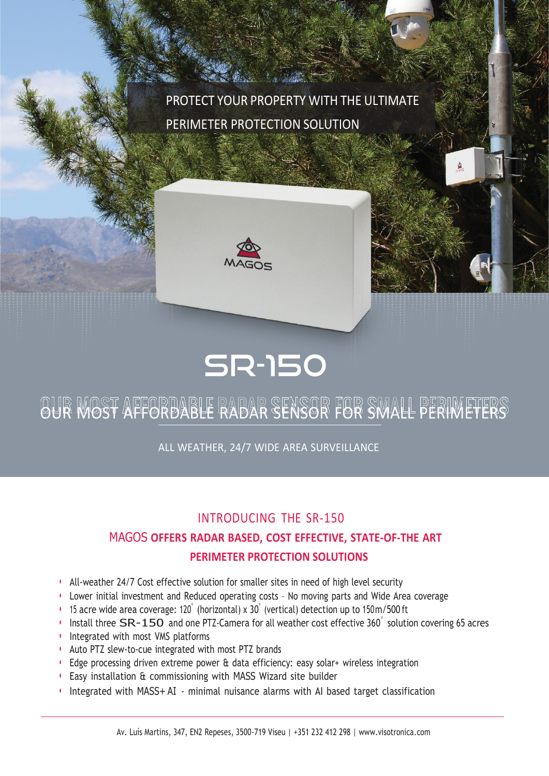PROTECT YOUR PROPERTY WITH THE ULTIMATE PERIMETER PROTECTION SOLUTION





# OUR MOST AFFORDABLE RADAR SENSOR FOR SMALL PERIMETERS

ALL WEATHER, 24/7 WIDE AREA SURVEILLANCE

### INTRODUCING THE SR-150

## MAGOS **OFFERS RADAR BASED, COST EFFECTIVE, STATE-OF-THE ART PERIMETER PROTECTION SOLUTIONS**

- All-weather 24/7 Cost effective solution for smaller sites in need of high level security
- Lower initial investment and Reduced operating costs No moving parts and Wide Area coverage
- 15 acre wide area coverage: 120˚ (horizontal) x 30˚ (vertical) detection up to 150m/500 ft
- Install three SR-150 and one PTZ-Camera for all weather cost effective 360° solution covering 65 acres
- Integrated with most VMS platforms
- Auto PTZ slew-to-cue integrated with most PTZ brands
- Edge processing driven extreme power & data efficiency: easy solar+ wireless integration
- Easy installation & commissioning with MASS Wizard site builder
- Integrated with MASS+ AI minimal nuisance alarms with AI based target classification